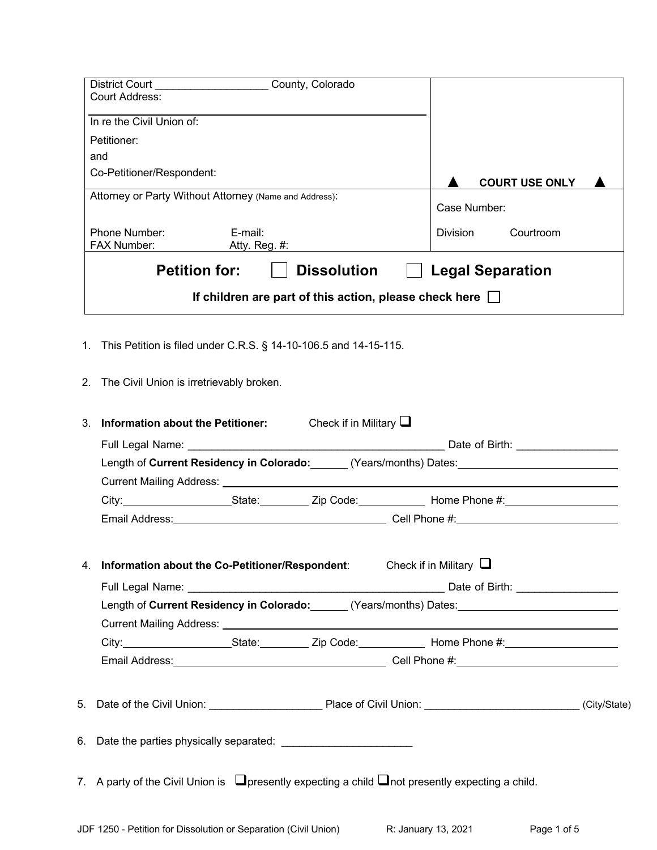| <b>District Court</b><br>County, Colorado                             |                              |  |  |  |
|-----------------------------------------------------------------------|------------------------------|--|--|--|
| Court Address:                                                        |                              |  |  |  |
| In re the Civil Union of:                                             |                              |  |  |  |
| Petitioner:                                                           |                              |  |  |  |
| and                                                                   |                              |  |  |  |
| Co-Petitioner/Respondent:                                             | <b>COURT USE ONLY</b>        |  |  |  |
| Attorney or Party Without Attorney (Name and Address):                | Case Number:                 |  |  |  |
| Phone Number:<br>$E$ -mail:<br><b>FAX Number:</b><br>Atty. Reg. #:    | <b>Division</b><br>Courtroom |  |  |  |
| <b>Dissolution</b><br><b>Petition for:</b><br><b>Legal Separation</b> |                              |  |  |  |
| If children are part of this action, please check here [              |                              |  |  |  |

- 1. This Petition is filed under C.R.S. § 14-10-106.5 and 14-15-115.
- 2. The Civil Union is irretrievably broken.

| 3. | <b>Information about the Petitioner:</b> Check if in Military $\Box$                                                                                                                                                          |  |  |
|----|-------------------------------------------------------------------------------------------------------------------------------------------------------------------------------------------------------------------------------|--|--|
|    |                                                                                                                                                                                                                               |  |  |
|    | Length of Current Residency in Colorado: ______ (Years/months) Dates: _____________________________                                                                                                                           |  |  |
|    |                                                                                                                                                                                                                               |  |  |
|    | City: City: City: City: City: Color City: Color City: City: City: City: City: City: City: City: City: City: City: City: City: City: City: City: City: City: City: City: City: City: City: City: City: City: City: City: City: |  |  |
|    |                                                                                                                                                                                                                               |  |  |
|    |                                                                                                                                                                                                                               |  |  |
|    | 4. Information about the Co-Petitioner/Respondent: Check if in Military $\Box$                                                                                                                                                |  |  |
|    |                                                                                                                                                                                                                               |  |  |
|    | Length of Current Residency in Colorado: (Years/months) Dates: 2008. [2016] Carent Messidency in Colorado:                                                                                                                    |  |  |
|    |                                                                                                                                                                                                                               |  |  |
|    |                                                                                                                                                                                                                               |  |  |
|    |                                                                                                                                                                                                                               |  |  |
|    |                                                                                                                                                                                                                               |  |  |
|    |                                                                                                                                                                                                                               |  |  |
|    |                                                                                                                                                                                                                               |  |  |
|    | 7. A party of the Civil Union is $\Box$ presently expecting a child $\Box$ not presently expecting a child.                                                                                                                   |  |  |
|    |                                                                                                                                                                                                                               |  |  |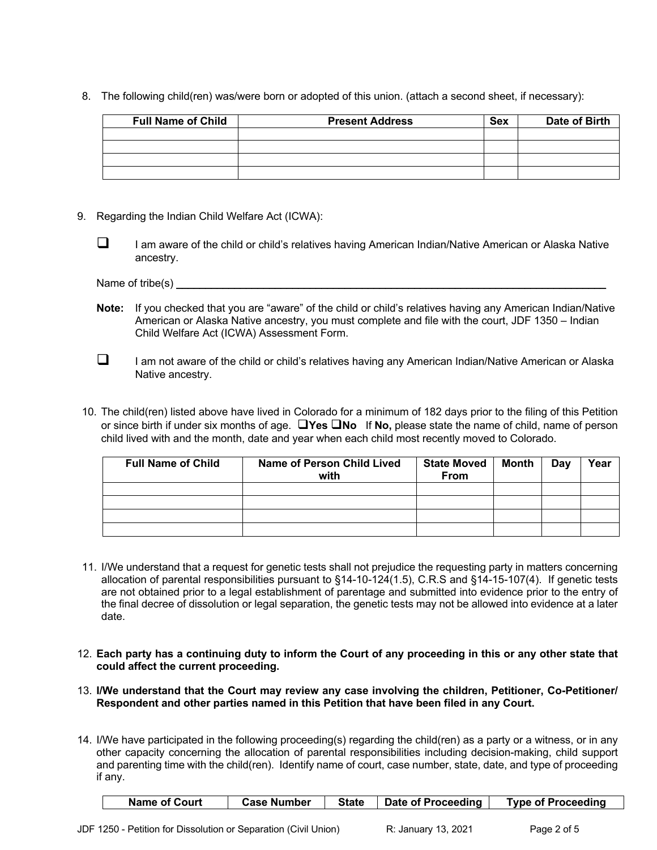8. The following child(ren) was/were born or adopted of this union. (attach a second sheet, if necessary):

| <b>Full Name of Child</b> | <b>Present Address</b> | Sex | Date of Birth |
|---------------------------|------------------------|-----|---------------|
|                           |                        |     |               |
|                           |                        |     |               |
|                           |                        |     |               |
|                           |                        |     |               |

- 9. Regarding the Indian Child Welfare Act (ICWA):
	- $\Box$  I am aware of the child or child's relatives having American Indian/Native American or Alaska Native ancestry.

Name of tribe(s)

- **Note:** If you checked that you are "aware" of the child or child's relatives having any American Indian/Native American or Alaska Native ancestry, you must complete and file with the court, JDF 1350 – Indian Child Welfare Act (ICWA) Assessment Form.
- $\Box$  I am not aware of the child or child's relatives having any American Indian/Native American or Alaska Native ancestry.
- 10. The child(ren) listed above have lived in Colorado for a minimum of 182 days prior to the filing of this Petition or since birth if under six months of age. q**Yes** q**No** If **No,** please state the name of child, name of person child lived with and the month, date and year when each child most recently moved to Colorado.

| <b>Full Name of Child</b> | Name of Person Child Lived<br>with | <b>State Moved</b><br><b>From</b> | Month | Dav | Year |
|---------------------------|------------------------------------|-----------------------------------|-------|-----|------|
|                           |                                    |                                   |       |     |      |
|                           |                                    |                                   |       |     |      |
|                           |                                    |                                   |       |     |      |
|                           |                                    |                                   |       |     |      |

- 11. I/We understand that a request for genetic tests shall not prejudice the requesting party in matters concerning allocation of parental responsibilities pursuant to §14-10-124(1.5), C.R.S and §14-15-107(4). If genetic tests are not obtained prior to a legal establishment of parentage and submitted into evidence prior to the entry of the final decree of dissolution or legal separation, the genetic tests may not be allowed into evidence at a later date.
- 12. **Each party has a continuing duty to inform the Court of any proceeding in this or any other state that could affect the current proceeding.**
- 13. **I/We understand that the Court may review any case involving the children, Petitioner, Co-Petitioner/ Respondent and other parties named in this Petition that have been filed in any Court.**
- 14. I/We have participated in the following proceeding(s) regarding the child(ren) as a party or a witness, or in any other capacity concerning the allocation of parental responsibilities including decision-making, child support and parenting time with the child(ren). Identify name of court, case number, state, date, and type of proceeding if any.

| Date of Proceeding<br><b>State</b><br><b>Case Number</b><br>Name of Court<br><b>Type of Proceeding</b> |
|--------------------------------------------------------------------------------------------------------|
|--------------------------------------------------------------------------------------------------------|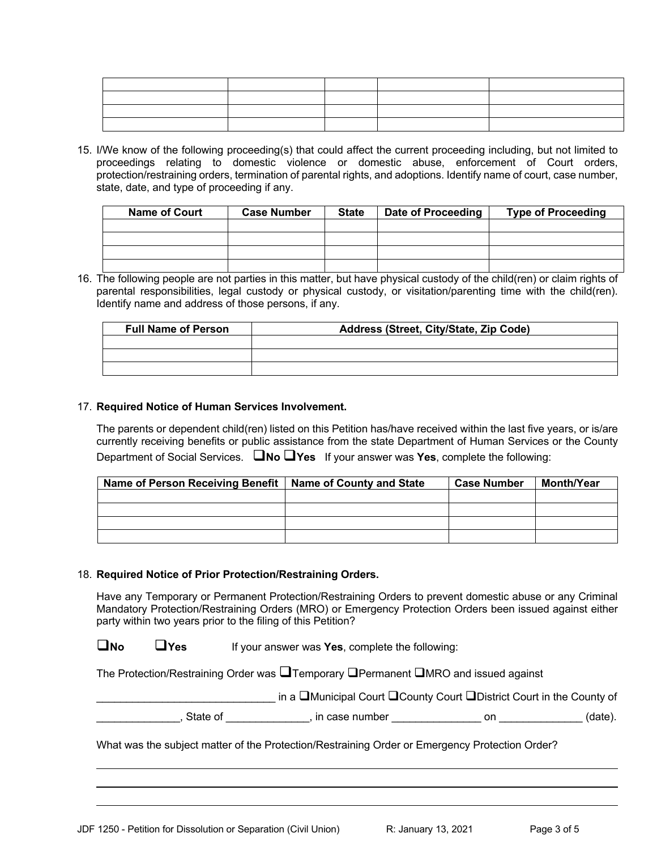| the contract of the contract of the contract of the contract of the contract of the contract of the contract of |  |  |
|-----------------------------------------------------------------------------------------------------------------|--|--|
|                                                                                                                 |  |  |

15. I/We know of the following proceeding(s) that could affect the current proceeding including, but not limited to proceedings relating to domestic violence or domestic abuse, enforcement of Court orders, protection/restraining orders, termination of parental rights, and adoptions. Identify name of court, case number, state, date, and type of proceeding if any.

| <b>Name of Court</b> | <b>Case Number</b> | <b>State</b> | Date of Proceeding | <b>Type of Proceeding</b> |
|----------------------|--------------------|--------------|--------------------|---------------------------|
|                      |                    |              |                    |                           |
|                      |                    |              |                    |                           |
|                      |                    |              |                    |                           |
|                      |                    |              |                    |                           |

16. The following people are not parties in this matter, but have physical custody of the child(ren) or claim rights of parental responsibilities, legal custody or physical custody, or visitation/parenting time with the child(ren). Identify name and address of those persons, if any.

| <b>Full Name of Person</b> | Address (Street, City/State, Zip Code) |
|----------------------------|----------------------------------------|
|                            |                                        |
|                            |                                        |
|                            |                                        |

## 17. **Required Notice of Human Services Involvement.**

The parents or dependent child(ren) listed on this Petition has/have received within the last five years, or is/are currently receiving benefits or public assistance from the state Department of Human Services or the County Department of Social Services. q**No** q**Yes** If your answer was **Yes**, complete the following:

| Name of Person Receiving Benefit   Name of County and State | <b>Case Number</b> | <b>Month/Year</b> |
|-------------------------------------------------------------|--------------------|-------------------|
|                                                             |                    |                   |
|                                                             |                    |                   |
|                                                             |                    |                   |
|                                                             |                    |                   |

## 18. **Required Notice of Prior Protection/Restraining Orders.**

Have any Temporary or Permanent Protection/Restraining Orders to prevent domestic abuse or any Criminal Mandatory Protection/Restraining Orders (MRO) or Emergency Protection Orders been issued against either party within two years prior to the filing of this Petition?

**QNo QYes** If your answer was **Yes**, complete the following:

The Protection/Restraining Order was  $\square$ Temporary  $\square$ Permanent  $\square$ MRO and issued against

and TMunicipal Court **QCounty Court QDistrict Court in the County of** 

\_\_\_\_\_\_\_\_\_\_\_\_\_\_, State of \_\_\_\_\_\_\_\_\_\_\_\_\_\_, in case number \_\_\_\_\_\_\_\_\_\_\_\_\_\_\_ on \_\_\_\_\_\_\_\_\_\_\_\_\_\_ (date).

What was the subject matter of the Protection/Restraining Order or Emergency Protection Order?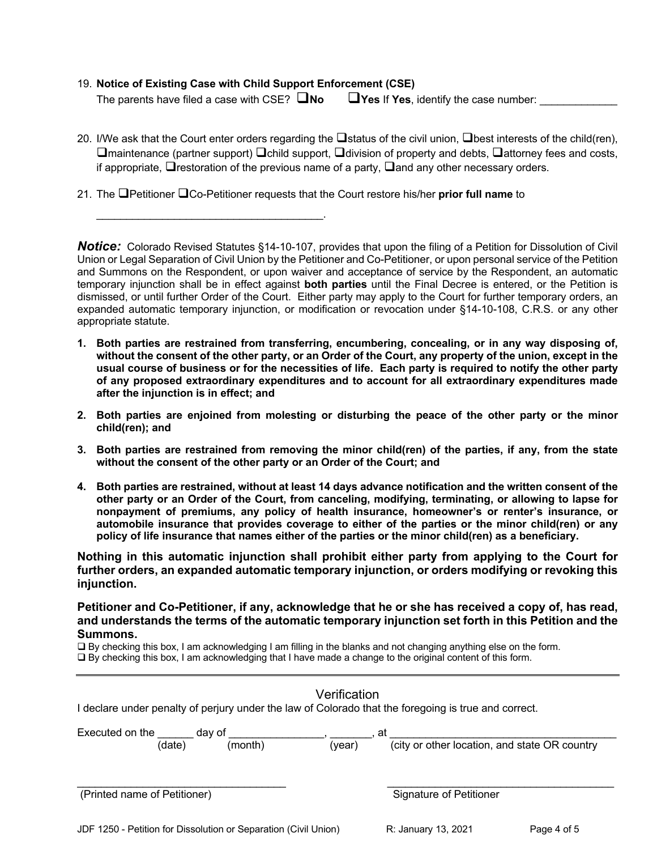## 19. **Notice of Existing Case with Child Support Enforcement (CSE)**

\_\_\_\_\_\_\_\_\_\_\_\_\_\_\_\_\_\_\_\_\_\_\_\_\_\_\_\_\_\_\_\_\_\_\_\_\_\_.

The parents have filed a case with CSE?  $\square$ No  $\square$  Yes If Yes, identify the case number:

- 20. I/We ask that the Court enter orders regarding the  $\Box$ status of the civil union,  $\Box$ best interests of the child(ren),  $\Box$ maintenance (partner support)  $\Box$ child support,  $\Box$ division of property and debts,  $\Box$ attorney fees and costs, if appropriate,  $\Box$  restoration of the previous name of a party,  $\Box$  and any other necessary orders.
- 21. The qPetitioner qCo-Petitioner requests that the Court restore his/her **prior full name** to

*Notice:*Colorado Revised Statutes §14-10-107, provides that upon the filing of a Petition for Dissolution of Civil Union or Legal Separation of Civil Union by the Petitioner and Co-Petitioner, or upon personal service of the Petition and Summons on the Respondent, or upon waiver and acceptance of service by the Respondent, an automatic temporary injunction shall be in effect against **both parties** until the Final Decree is entered, or the Petition is dismissed, or until further Order of the Court. Either party may apply to the Court for further temporary orders, an expanded automatic temporary injunction, or modification or revocation under §14-10-108, C.R.S. or any other appropriate statute.

- **1. Both parties are restrained from transferring, encumbering, concealing, or in any way disposing of, without the consent of the other party, or an Order of the Court, any property of the union, except in the usual course of business or for the necessities of life. Each party is required to notify the other party of any proposed extraordinary expenditures and to account for all extraordinary expenditures made after the injunction is in effect; and**
- **2. Both parties are enjoined from molesting or disturbing the peace of the other party or the minor child(ren); and**
- **3. Both parties are restrained from removing the minor child(ren) of the parties, if any, from the state without the consent of the other party or an Order of the Court; and**
- **4. Both parties are restrained, without at least 14 days advance notification and the written consent of the other party or an Order of the Court, from canceling, modifying, terminating, or allowing to lapse for nonpayment of premiums, any policy of health insurance, homeowner's or renter's insurance, or automobile insurance that provides coverage to either of the parties or the minor child(ren) or any policy of life insurance that names either of the parties or the minor child(ren) as a beneficiary.**

**Nothing in this automatic injunction shall prohibit either party from applying to the Court for further orders, an expanded automatic temporary injunction, or orders modifying or revoking this injunction.** 

**Petitioner and Co-Petitioner, if any, acknowledge that he or she has received a copy of, has read, and understands the terms of the automatic temporary injunction set forth in this Petition and the Summons.**

 $\Box$  By checking this box, I am acknowledging I am filling in the blanks and not changing anything else on the form.  $\Box$  By checking this box, I am acknowledging that I have made a change to the original content of this form.

| Verification<br>I declare under penalty of perjury under the law of Colorado that the foregoing is true and correct. |        |                                                     |  |  |
|----------------------------------------------------------------------------------------------------------------------|--------|-----------------------------------------------------|--|--|
| Executed on the<br>day of<br>(month)<br>(date)                                                                       | (year) | at<br>(city or other location, and state OR country |  |  |
|                                                                                                                      |        |                                                     |  |  |
| (Printed name of Petitioner)                                                                                         |        | <b>Signature of Petitioner</b>                      |  |  |
|                                                                                                                      |        |                                                     |  |  |

JDF 1250 - Petition for Dissolution or Separation (Civil Union) R: January 13, 2021 Page 4 of 5